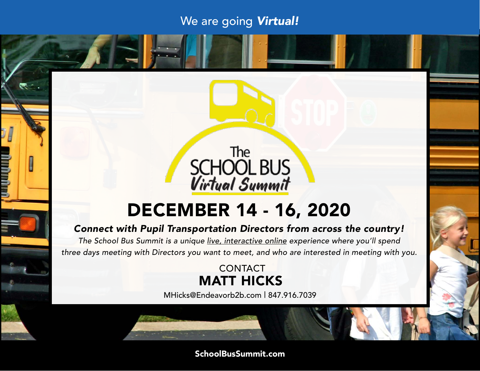#### We are going *Virtual!*



### DECEMBER 14 - 16, 2020

#### *Connect with Pupil Transportation Directors from across the country!*

*The School Bus Summit is a unique live, interactive online experience where you'll spend three days meeting with Directors you want to meet, and who are interested in meeting with you.*

#### **CONTACT** MATT HICKS

MHicks@Endeavorb2b.com | 847.916.7039

#### SchoolBusSummit.com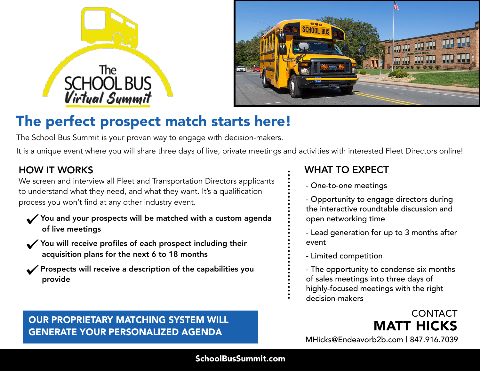



### The perfect prospect match starts here!

The School Bus Summit is your proven way to engage with decision-makers.

It is a unique event where you will share three days of live, private meetings and activities with interested Fleet Directors online!

#### HOW IT WORKS

We screen and interview all Fleet and Transportation Directors applicants to understand what they need, and what they want. It's a qualification process you won't find at any other industry event.

- You and your prospects will be matched with a custom agenda of live meetings
- You will receive profiles of each prospect including their acquisition plans for the next 6 to 18 months
- Prospects will receive a description of the capabilities you provide

# OUR PROPRIETARY MATCHING SYSTEM WILL **WARD MATT HICKS**<br>GENERATE YOUR PERSONALIZED AGENDA

#### WHAT TO EXPECT

- One-to-one meetings
- Opportunity to engage directors during the interactive roundtable discussion and open networking time
- Lead generation for up to 3 months after event
- Limited competition
- The opportunity to condense six months of sales meetings into three days of highly-focused meetings with the right
- decision-makers
	- MHicks@Endeavorb2b.com | 847.916.7039 **CONTACT**

#### SchoolBusSummit.com